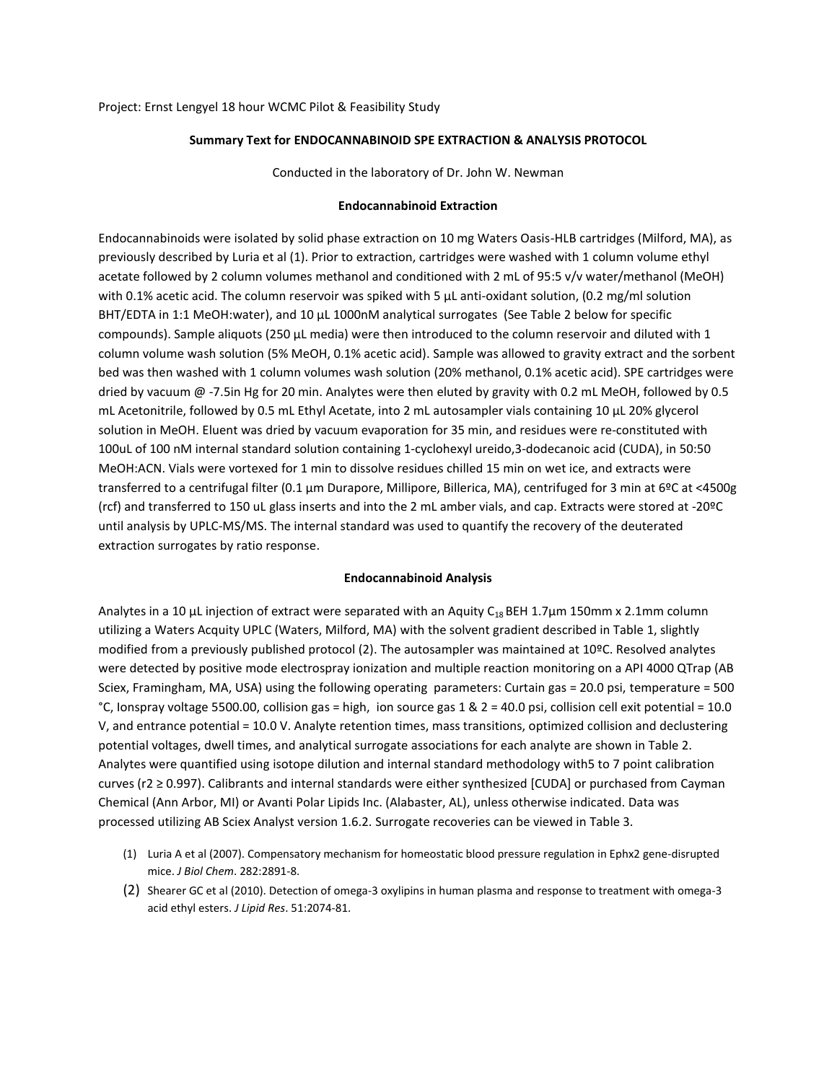## **Summary Text for ENDOCANNABINOID SPE EXTRACTION & ANALYSIS PROTOCOL**

Conducted in the laboratory of Dr. John W. Newman

## **Endocannabinoid Extraction**

Endocannabinoids were isolated by solid phase extraction on 10 mg Waters Oasis-HLB cartridges (Milford, MA), as previously described by Luria et al (1). Prior to extraction, cartridges were washed with 1 column volume ethyl acetate followed by 2 column volumes methanol and conditioned with 2 mL of 95:5 v/v water/methanol (MeOH) with 0.1% acetic acid. The column reservoir was spiked with 5  $\mu$ L anti-oxidant solution, (0.2 mg/ml solution BHT/EDTA in 1:1 MeOH:water), and 10 μL 1000nM analytical surrogates (See Table 2 below for specific compounds). Sample aliquots (250 μL media) were then introduced to the column reservoir and diluted with 1 column volume wash solution (5% MeOH, 0.1% acetic acid). Sample was allowed to gravity extract and the sorbent bed was then washed with 1 column volumes wash solution (20% methanol, 0.1% acetic acid). SPE cartridges were dried by vacuum @ -7.5in Hg for 20 min. Analytes were then eluted by gravity with 0.2 mL MeOH, followed by 0.5 mL Acetonitrile, followed by 0.5 mL Ethyl Acetate, into 2 mL autosampler vials containing 10 µL 20% glycerol solution in MeOH. Eluent was dried by vacuum evaporation for 35 min, and residues were re-constituted with 100uL of 100 nM internal standard solution containing 1-cyclohexyl ureido,3-dodecanoic acid (CUDA), in 50:50 MeOH:ACN. Vials were vortexed for 1 min to dissolve residues chilled 15 min on wet ice, and extracts were transferred to a centrifugal filter (0.1 µm Durapore, Millipore, Billerica, MA), centrifuged for 3 min at 6ºC at <4500g (rcf) and transferred to 150 uL glass inserts and into the 2 mL amber vials, and cap. Extracts were stored at -20ºC until analysis by UPLC-MS/MS. The internal standard was used to quantify the recovery of the deuterated extraction surrogates by ratio response.

## **Endocannabinoid Analysis**

Analytes in a 10 μL injection of extract were separated with an Aquity C<sub>18</sub> BEH 1.7<sub>µ</sub>m 150mm x 2.1mm column utilizing a Waters Acquity UPLC (Waters, Milford, MA) with the solvent gradient described in Table 1, slightly modified from a previously published protocol (2). The autosampler was maintained at 10ºC. Resolved analytes were detected by positive mode electrospray ionization and multiple reaction monitoring on a API 4000 QTrap (AB Sciex, Framingham, MA, USA) using the following operating parameters: Curtain gas = 20.0 psi, temperature = 500 °C, Ionspray voltage 5500.00, collision gas = high, ion source gas 1 & 2 = 40.0 psi, collision cell exit potential = 10.0 V, and entrance potential = 10.0 V. Analyte retention times, mass transitions, optimized collision and declustering potential voltages, dwell times, and analytical surrogate associations for each analyte are shown in Table 2. Analytes were quantified using isotope dilution and internal standard methodology with5 to 7 point calibration curves (r2 ≥ 0.997). Calibrants and internal standards were either synthesized [CUDA] or purchased from Cayman Chemical (Ann Arbor, MI) or Avanti Polar Lipids Inc. (Alabaster, AL), unless otherwise indicated. Data was processed utilizing AB Sciex Analyst version 1.6.2. Surrogate recoveries can be viewed in Table 3.

- (1) Luria A et al (2007). Compensatory mechanism for homeostatic blood pressure regulation in Ephx2 gene-disrupted mice. *J Biol Chem*. 282:2891-8.
- (2) Shearer GC et al (2010). Detection of omega-3 oxylipins in human plasma and response to treatment with omega-3 acid ethyl esters. *J Lipid Res*. 51:2074-81.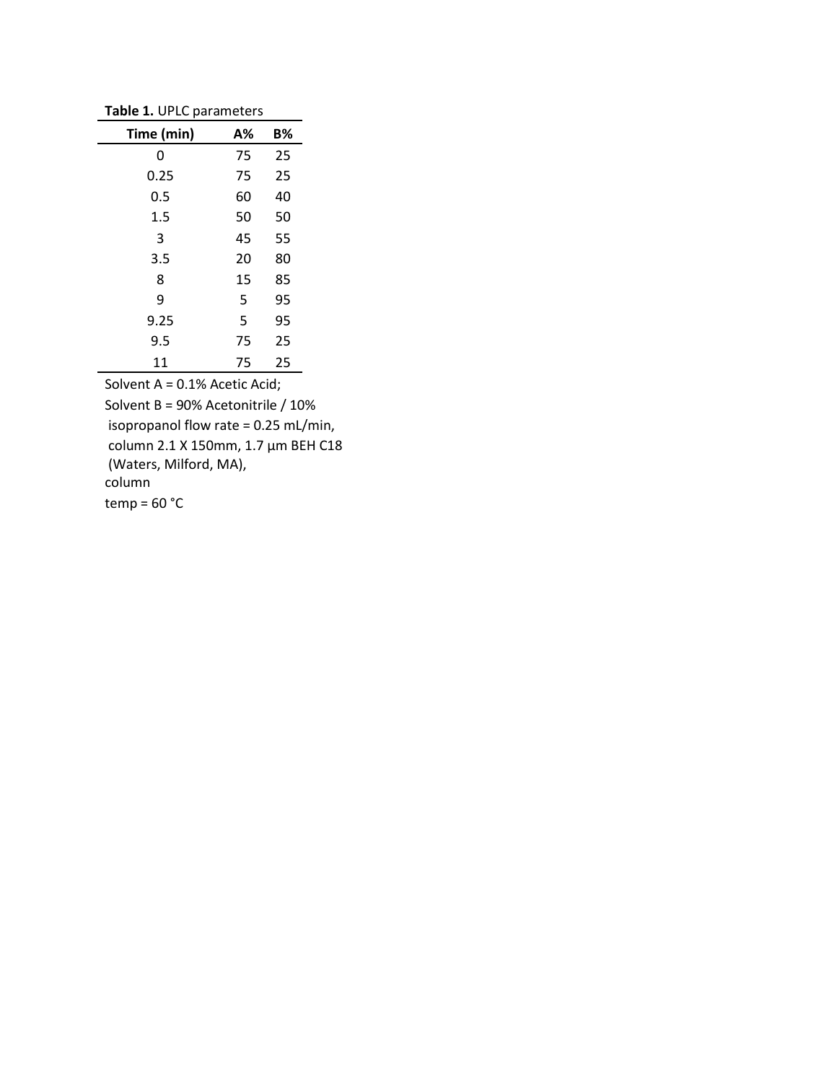**Table 1.** UPLC parameters

| Time (min) | А% | B% |
|------------|----|----|
| 0          | 75 | 25 |
| 0.25       | 75 | 25 |
| 0.5        | 60 | 40 |
| 1.5        | 50 | 50 |
| 3          | 45 | 55 |
| 3.5        | 20 | 80 |
| 8          | 15 | 85 |
| 9          | 5  | 95 |
| 9.25       | 5  | 95 |
| 9.5        | 75 | 25 |
| 11         | 75 | 25 |

Solvent A = 0.1% Acetic Acid; Solvent B = 90% Acetonitrile / 10% isopropanol flow rate = 0.25 mL/min, column 2.1 X 150mm, 1.7 µm BEH C18 (Waters, Milford, MA), column  $temp = 60 °C$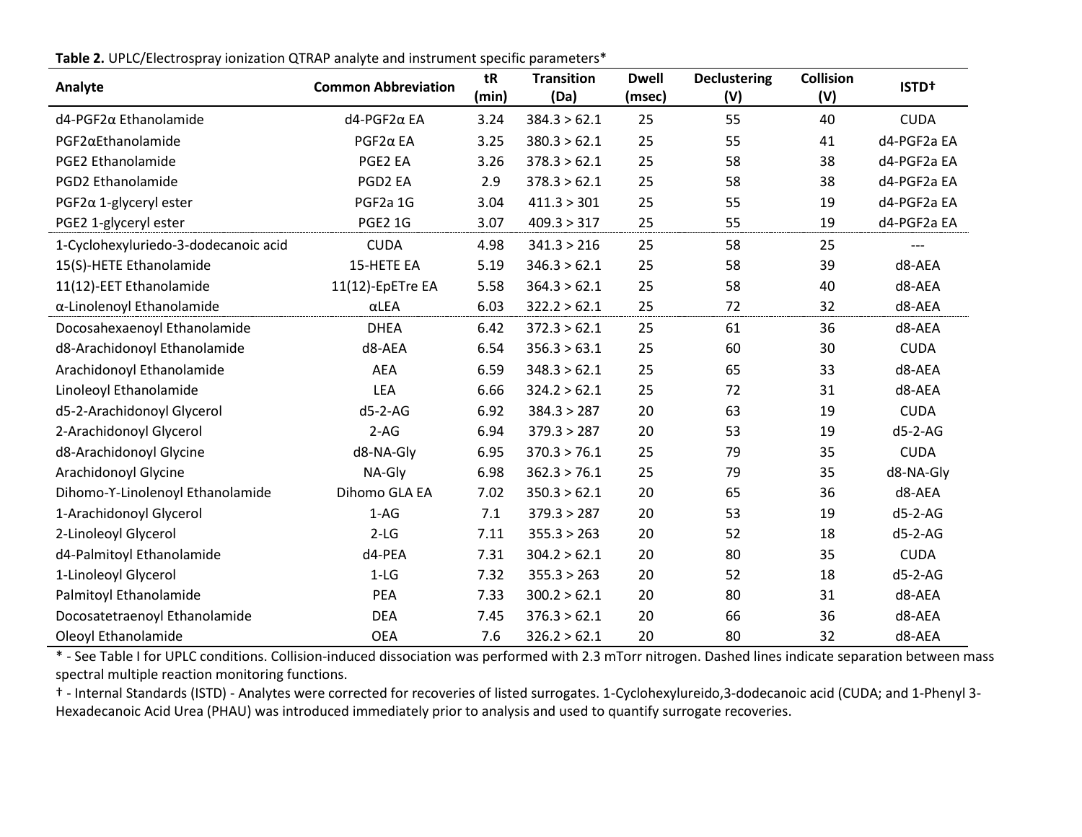| Analyte                              | <b>Common Abbreviation</b> | tR<br>(min) | <b>Transition</b><br>(Da) | <b>Dwell</b><br>(msec) | <b>Declustering</b><br>(V) | <b>Collision</b><br>(V) | <b>ISTD+</b> |
|--------------------------------------|----------------------------|-------------|---------------------------|------------------------|----------------------------|-------------------------|--------------|
| d4-PGF2α Ethanolamide                | d4-PGF2α EA                | 3.24        | 384.3 > 62.1              | 25                     | 55                         | 40                      | <b>CUDA</b>  |
| PGF2aEthanolamide                    | $PGF2\alpha$ EA            | 3.25        | 380.3 > 62.1              | 25                     | 55                         | 41                      | d4-PGF2a EA  |
| PGE2 Ethanolamide                    | PGE2 EA                    | 3.26        | 378.3 > 62.1              | 25                     | 58                         | 38                      | d4-PGF2a EA  |
| <b>PGD2 Ethanolamide</b>             | PGD2 EA                    | 2.9         | 378.3 > 62.1              | 25                     | 58                         | 38                      | d4-PGF2a EA  |
| $PGF2\alpha$ 1-glyceryl ester        | PGF2a 1G                   | 3.04        | 411.3 > 301               | 25                     | 55                         | 19                      | d4-PGF2a EA  |
| PGE2 1-glyceryl ester                | <b>PGE2 1G</b>             | 3.07        | 409.3 > 317               | 25                     | 55                         | 19                      | d4-PGF2a EA  |
| 1-Cyclohexyluriedo-3-dodecanoic acid | <b>CUDA</b>                | 4.98        | 341.3 > 216               | 25                     | 58                         | 25                      |              |
| 15(S)-HETE Ethanolamide              | 15-HETE EA                 | 5.19        | 346.3 > 62.1              | 25                     | 58                         | 39                      | d8-AEA       |
| 11(12)-EET Ethanolamide              | 11(12)-EpETre EA           | 5.58        | 364.3 > 62.1              | 25                     | 58                         | 40                      | d8-AEA       |
| α-Linolenoyl Ethanolamide            | $\alpha$ LEA               | 6.03        | 322.2 > 62.1              | 25                     | 72                         | 32                      | d8-AEA       |
| Docosahexaenoyl Ethanolamide         | <b>DHEA</b>                | 6.42        | 372.3 > 62.1              | 25                     | 61                         | 36                      | d8-AEA       |
| d8-Arachidonoyl Ethanolamide         | d8-AEA                     | 6.54        | 356.3 > 63.1              | 25                     | 60                         | 30                      | <b>CUDA</b>  |
| Arachidonoyl Ethanolamide            | AEA                        | 6.59        | 348.3 > 62.1              | 25                     | 65                         | 33                      | d8-AEA       |
| Linoleoyl Ethanolamide               | <b>LEA</b>                 | 6.66        | 324.2 > 62.1              | 25                     | 72                         | 31                      | d8-AEA       |
| d5-2-Arachidonoyl Glycerol           | $d5-2-AG$                  | 6.92        | 384.3 > 287               | 20                     | 63                         | 19                      | <b>CUDA</b>  |
| 2-Arachidonoyl Glycerol              | $2-AG$                     | 6.94        | 379.3 > 287               | 20                     | 53                         | 19                      | $d5-2-AG$    |
| d8-Arachidonoyl Glycine              | d8-NA-Gly                  | 6.95        | 370.3 > 76.1              | 25                     | 79                         | 35                      | <b>CUDA</b>  |
| Arachidonoyl Glycine                 | NA-Gly                     | 6.98        | 362.3 > 76.1              | 25                     | 79                         | 35                      | d8-NA-Gly    |
| Dihomo-Y-Linolenoyl Ethanolamide     | Dihomo GLA EA              | 7.02        | 350.3 > 62.1              | 20                     | 65                         | 36                      | d8-AEA       |
| 1-Arachidonoyl Glycerol              | $1-AG$                     | 7.1         | 379.3 > 287               | 20                     | 53                         | 19                      | $d5-2-AG$    |
| 2-Linoleoyl Glycerol                 | $2-LG$                     | 7.11        | 355.3 > 263               | 20                     | 52                         | 18                      | $d5-2-AG$    |
| d4-Palmitoyl Ethanolamide            | d4-PEA                     | 7.31        | 304.2 > 62.1              | 20                     | 80                         | 35                      | <b>CUDA</b>  |
| 1-Linoleoyl Glycerol                 | $1-LG$                     | 7.32        | 355.3 > 263               | 20                     | 52                         | 18                      | $d5-2-AG$    |
| Palmitoyl Ethanolamide               | <b>PEA</b>                 | 7.33        | 300.2 > 62.1              | 20                     | 80                         | 31                      | d8-AEA       |
| Docosatetraenoyl Ethanolamide        | <b>DEA</b>                 | 7.45        | 376.3 > 62.1              | 20                     | 66                         | 36                      | d8-AEA       |
| Oleoyl Ethanolamide                  | <b>OEA</b>                 | 7.6         | 326.2 > 62.1              | 20                     | 80                         | 32                      | d8-AEA       |

**Table 2.** UPLC/Electrospray ionization QTRAP analyte and instrument specific parameters\*

\* - See Table I for UPLC conditions. Collision-induced dissociation was performed with 2.3 mTorr nitrogen. Dashed lines indicate separation between mass spectral multiple reaction monitoring functions.

† - Internal Standards (ISTD) - Analytes were corrected for recoveries of listed surrogates. 1-Cyclohexylureido,3-dodecanoic acid (CUDA; and 1-Phenyl 3- Hexadecanoic Acid Urea (PHAU) was introduced immediately prior to analysis and used to quantify surrogate recoveries.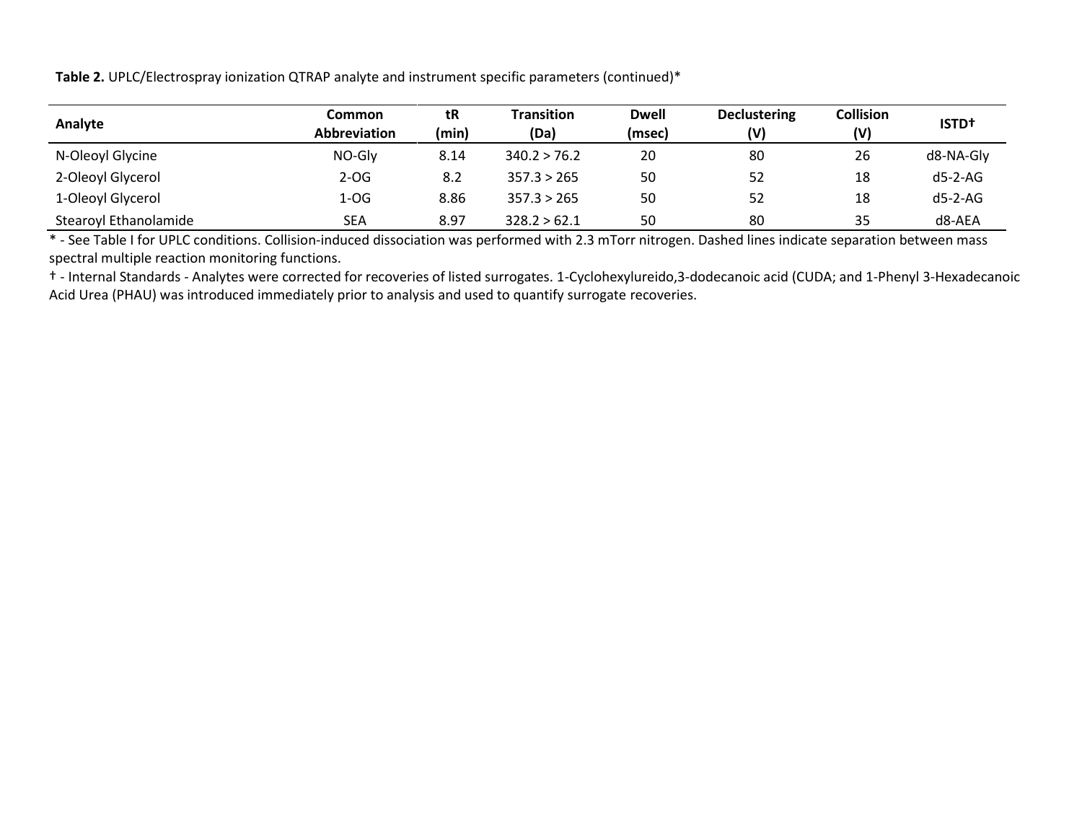**Table 2.** UPLC/Electrospray ionization QTRAP analyte and instrument specific parameters (continued)\*

| Analyte               | Common<br><b>Abbreviation</b> | tR<br>(min) | <b>Transition</b><br>(Da) | <b>Dwell</b><br>(msec) | <b>Declustering</b><br>(V) | <b>Collision</b><br>(V) | <b>ISTD+</b> |
|-----------------------|-------------------------------|-------------|---------------------------|------------------------|----------------------------|-------------------------|--------------|
| N-Oleoyl Glycine      | NO-Gly                        | 8.14        | 340.2 > 76.2              | 20                     | 80                         | 26                      | d8-NA-Gly    |
| 2-Oleoyl Glycerol     | $2-OG$                        | 8.2         | 357.3 > 265               | 50                     | 52                         | 18                      | d5-2-AG      |
| 1-Oleoyl Glycerol     | $1-OG$                        | 8.86        | 357.3 > 265               | 50                     | 52                         | 18                      | $d5-2-AG$    |
| Stearoyl Ethanolamide | <b>SEA</b>                    | 8.97        | 328.2 > 62.1              | 50                     | 80                         | 35                      | $d8 - AEA$   |

\* - See Table I for UPLC conditions. Collision-induced dissociation was performed with 2.3 mTorr nitrogen. Dashed lines indicate separation between mass spectral multiple reaction monitoring functions.

† - Internal Standards - Analytes were corrected for recoveries of listed surrogates. 1-Cyclohexylureido,3-dodecanoic acid (CUDA; and 1-Phenyl 3-Hexadecanoic Acid Urea (PHAU) was introduced immediately prior to analysis and used to quantify surrogate recoveries.